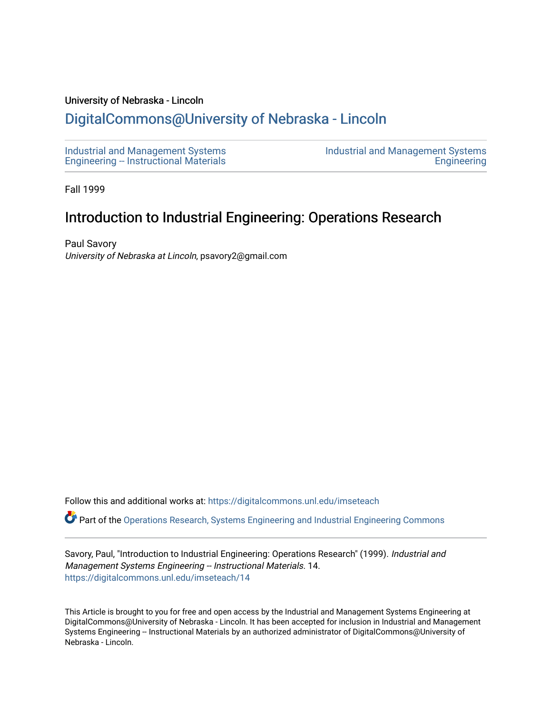#### University of Nebraska - Lincoln

## [DigitalCommons@University of Nebraska - Lincoln](https://digitalcommons.unl.edu/)

[Industrial and Management Systems](https://digitalcommons.unl.edu/imseteach)  [Engineering -- Instructional Materials](https://digitalcommons.unl.edu/imseteach)  [Industrial and Management Systems](https://digitalcommons.unl.edu/imse)  **Engineering** 

Fall 1999

# Introduction to Industrial Engineering: Operations Research

Paul Savory University of Nebraska at Lincoln, psavory2@gmail.com

Follow this and additional works at: [https://digitalcommons.unl.edu/imseteach](https://digitalcommons.unl.edu/imseteach?utm_source=digitalcommons.unl.edu%2Fimseteach%2F14&utm_medium=PDF&utm_campaign=PDFCoverPages) 

Part of the [Operations Research, Systems Engineering and Industrial Engineering Commons](http://network.bepress.com/hgg/discipline/305?utm_source=digitalcommons.unl.edu%2Fimseteach%2F14&utm_medium=PDF&utm_campaign=PDFCoverPages)

Savory, Paul, "Introduction to Industrial Engineering: Operations Research" (1999). Industrial and Management Systems Engineering -- Instructional Materials. 14. [https://digitalcommons.unl.edu/imseteach/14](https://digitalcommons.unl.edu/imseteach/14?utm_source=digitalcommons.unl.edu%2Fimseteach%2F14&utm_medium=PDF&utm_campaign=PDFCoverPages)

This Article is brought to you for free and open access by the Industrial and Management Systems Engineering at DigitalCommons@University of Nebraska - Lincoln. It has been accepted for inclusion in Industrial and Management Systems Engineering -- Instructional Materials by an authorized administrator of DigitalCommons@University of Nebraska - Lincoln.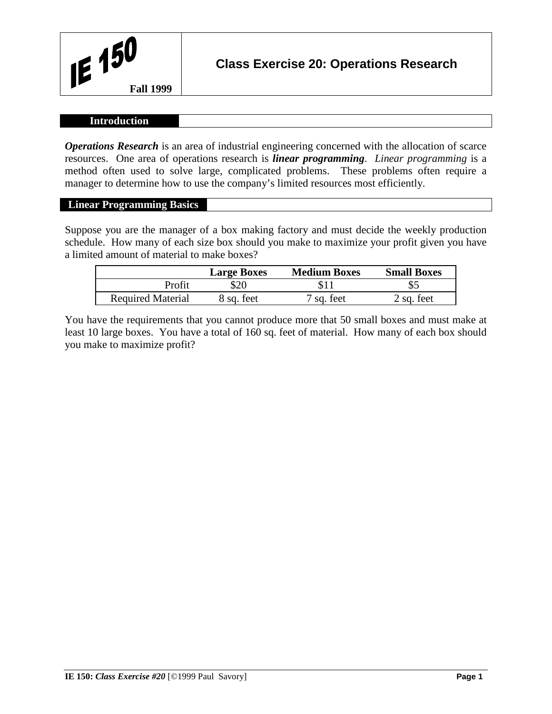

### **Introduction**

*Operations Research* is an area of industrial engineering concerned with the allocation of scarce resources. One area of operations research is *linear programming*. *Linear programming* is a method often used to solve large, complicated problems. These problems often require a manager to determine how to use the company's limited resources most efficiently.

#### **Linear Programming Basics**

Suppose you are the manager of a box making factory and must decide the weekly production schedule. How many of each size box should you make to maximize your profit given you have a limited amount of material to make boxes?

|                          | <b>Large Boxes</b> | <b>Medium Boxes</b>   | <b>Small Boxes</b> |
|--------------------------|--------------------|-----------------------|--------------------|
| Profit                   | \$20               |                       |                    |
| <b>Required Material</b> | 8 sq. feet         | <sup>7</sup> sq. feet | $2$ sq. feet       |

You have the requirements that you cannot produce more that 50 small boxes and must make at least 10 large boxes. You have a total of 160 sq. feet of material. How many of each box should you make to maximize profit?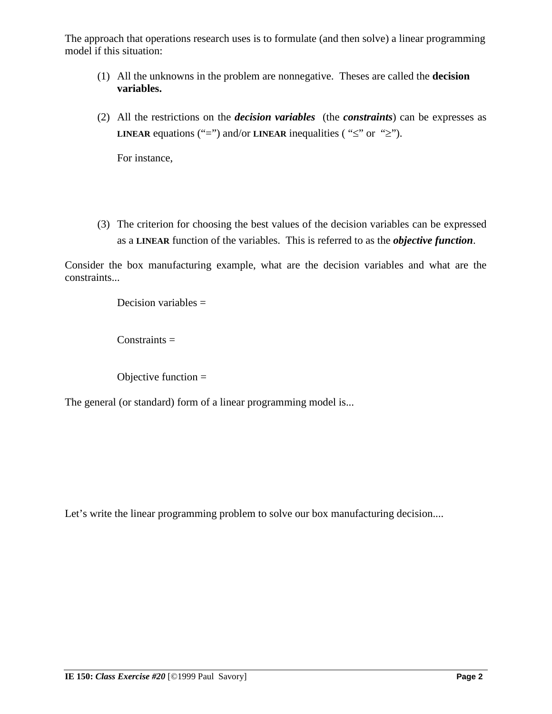The approach that operations research uses is to formulate (and then solve) a linear programming model if this situation:

- (1) All the unknowns in the problem are nonnegative. Theses are called the **decision variables.**
- (2) All the restrictions on the *decision variables* (the *constraints*) can be expresses as **LINEAR** equations ("=") and/or **LINEAR** inequalities ( " $\leq$ " or " $\geq$ ").

For instance,

(3) The criterion for choosing the best values of the decision variables can be expressed as a **LINEAR** function of the variables. This is referred to as the *objective function*.

Consider the box manufacturing example, what are the decision variables and what are the constraints...

Decision variables =

 $Constraints =$ 

Objective function  $=$ 

The general (or standard) form of a linear programming model is...

Let's write the linear programming problem to solve our box manufacturing decision....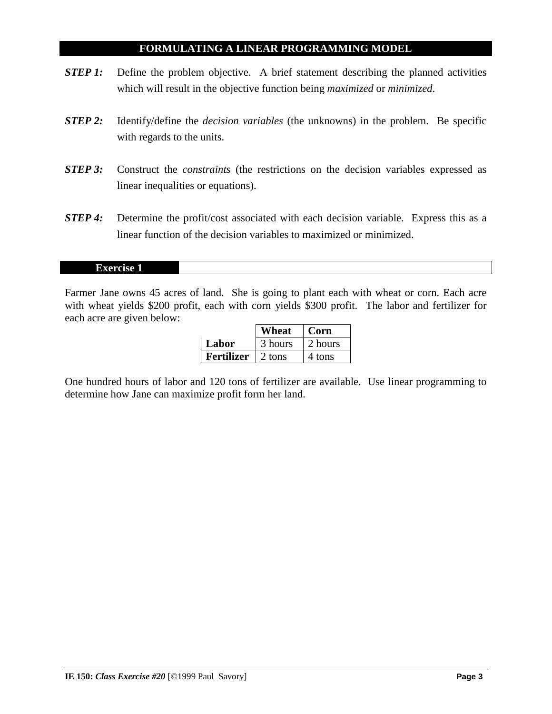### **FORMULATING A LINEAR PROGRAMMING MODEL**

- *STEP 1:* Define the problem objective. A brief statement describing the planned activities which will result in the objective function being *maximized* or *minimized*.
- *STEP 2:* Identify/define the *decision variables* (the unknowns) in the problem. Be specific with regards to the units.
- *STEP 3:* Construct the *constraints* (the restrictions on the decision variables expressed as linear inequalities or equations).
- **STEP 4:** Determine the profit/cost associated with each decision variable. Express this as a linear function of the decision variables to maximized or minimized.

#### **Exercise 1**

Farmer Jane owns 45 acres of land. She is going to plant each with wheat or corn. Each acre with wheat yields \$200 profit, each with corn yields \$300 profit. The labor and fertilizer for each acre are given below:

|            | Wheat        | Corn    |
|------------|--------------|---------|
| Labor      | 3 hours      | 2 hours |
| Fertilizer | $\pm 2$ tons | 4 tons  |

One hundred hours of labor and 120 tons of fertilizer are available. Use linear programming to determine how Jane can maximize profit form her land.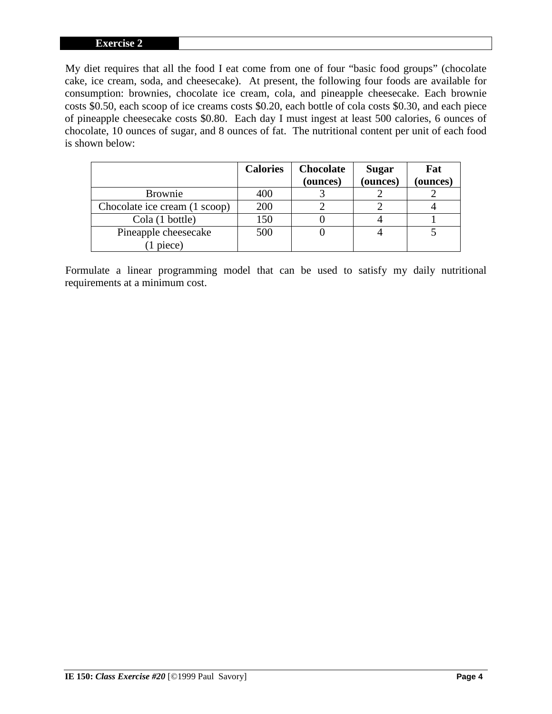#### **Exercise 2**

My diet requires that all the food I eat come from one of four "basic food groups" (chocolate cake, ice cream, soda, and cheesecake). At present, the following four foods are available for consumption: brownies, chocolate ice cream, cola, and pineapple cheesecake. Each brownie costs \$0.50, each scoop of ice creams costs \$0.20, each bottle of cola costs \$0.30, and each piece of pineapple cheesecake costs \$0.80. Each day I must ingest at least 500 calories, 6 ounces of chocolate, 10 ounces of sugar, and 8 ounces of fat. The nutritional content per unit of each food is shown below:

|                               | <b>Calories</b> | <b>Chocolate</b> | <b>Sugar</b> | Fat      |
|-------------------------------|-----------------|------------------|--------------|----------|
|                               |                 | (ounces)         | (ounces)     | (ounces) |
| <b>Brownie</b>                | 400             |                  |              |          |
| Chocolate ice cream (1 scoop) | 200             |                  |              |          |
| Cola (1 bottle)               | 150             |                  |              |          |
| Pineapple cheesecake          | 500             |                  |              |          |
| piece)                        |                 |                  |              |          |

Formulate a linear programming model that can be used to satisfy my daily nutritional requirements at a minimum cost.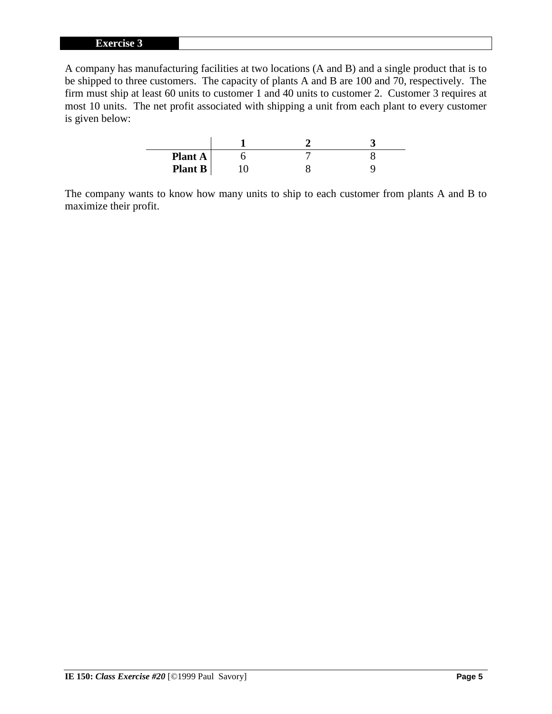#### **Exercise 3**

A company has manufacturing facilities at two locations (A and B) and a single product that is to be shipped to three customers. The capacity of plants A and B are 100 and 70, respectively. The firm must ship at least 60 units to customer 1 and 40 units to customer 2. Customer 3 requires at most 10 units. The net profit associated with shipping a unit from each plant to every customer is given below:

| Plant $A$ |  |  |
|-----------|--|--|
| Plant B   |  |  |

The company wants to know how many units to ship to each customer from plants A and B to maximize their profit.